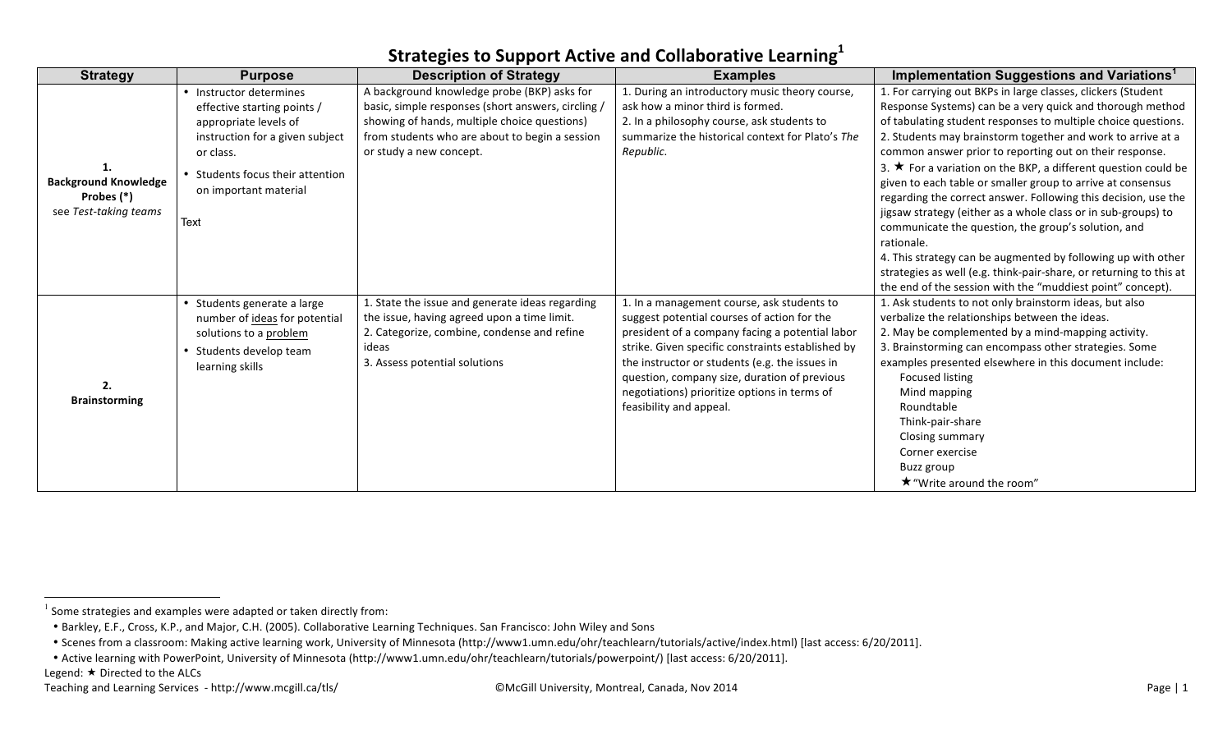| <b>Strategy</b>             | <b>Purpose</b>                  | <b>Description of Strategy</b>                     | <b>Examples</b>                                   | Implementation Suggestions and Variations <sup>1</sup>               |
|-----------------------------|---------------------------------|----------------------------------------------------|---------------------------------------------------|----------------------------------------------------------------------|
|                             | • Instructor determines         | A background knowledge probe (BKP) asks for        | 1. During an introductory music theory course,    | 1. For carrying out BKPs in large classes, clickers (Student         |
|                             | effective starting points /     | basic, simple responses (short answers, circling / | ask how a minor third is formed.                  | Response Systems) can be a very quick and thorough method            |
|                             | appropriate levels of           | showing of hands, multiple choice questions)       | 2. In a philosophy course, ask students to        | of tabulating student responses to multiple choice questions.        |
|                             | instruction for a given subject | from students who are about to begin a session     | summarize the historical context for Plato's The  | 2. Students may brainstorm together and work to arrive at a          |
|                             | or class.                       | or study a new concept.                            | Republic.                                         | common answer prior to reporting out on their response.              |
|                             | Students focus their attention  |                                                    |                                                   | 3. $\star$ For a variation on the BKP, a different question could be |
| <b>Background Knowledge</b> | on important material           |                                                    |                                                   | given to each table or smaller group to arrive at consensus          |
| Probes (*)                  |                                 |                                                    |                                                   | regarding the correct answer. Following this decision, use the       |
| see Test-taking teams       | Text                            |                                                    |                                                   | jigsaw strategy (either as a whole class or in sub-groups) to        |
|                             |                                 |                                                    |                                                   | communicate the question, the group's solution, and                  |
|                             |                                 |                                                    |                                                   | rationale.                                                           |
|                             |                                 |                                                    |                                                   | 4. This strategy can be augmented by following up with other         |
|                             |                                 |                                                    |                                                   | strategies as well (e.g. think-pair-share, or returning to this at   |
|                             |                                 |                                                    |                                                   | the end of the session with the "muddiest point" concept).           |
|                             | • Students generate a large     | 1. State the issue and generate ideas regarding    | 1. In a management course, ask students to        | 1. Ask students to not only brainstorm ideas, but also               |
|                             | number of ideas for potential   | the issue, having agreed upon a time limit.        | suggest potential courses of action for the       | verbalize the relationships between the ideas.                       |
|                             | solutions to a problem          | 2. Categorize, combine, condense and refine        | president of a company facing a potential labor   | 2. May be complemented by a mind-mapping activity.                   |
|                             | Students develop team           | ideas                                              | strike. Given specific constraints established by | 3. Brainstorming can encompass other strategies. Some                |
|                             | learning skills                 | 3. Assess potential solutions                      | the instructor or students (e.g. the issues in    | examples presented elsewhere in this document include:               |
| 2.                          |                                 |                                                    | question, company size, duration of previous      | Focused listing                                                      |
| <b>Brainstorming</b>        |                                 |                                                    | negotiations) prioritize options in terms of      | Mind mapping                                                         |
|                             |                                 |                                                    | feasibility and appeal.                           | Roundtable                                                           |
|                             |                                 |                                                    |                                                   | Think-pair-share                                                     |
|                             |                                 |                                                    |                                                   | Closing summary                                                      |
|                             |                                 |                                                    |                                                   | Corner exercise                                                      |
|                             |                                 |                                                    |                                                   | Buzz group                                                           |
|                             |                                 |                                                    |                                                   | <b>★</b> "Write around the room"                                     |

 $1$  Some strategies and examples were adapted or taken directly from:

<sup>•</sup> Barkley, E.F., Cross, K.P., and Major, C.H. (2005). Collaborative Learning Techniques. San Francisco: John Wiley and Sons

<sup>•</sup> Scenes from a classroom: Making active learning work, University of Minnesota (http://www1.umn.edu/ohr/teachlearn/tutorials/active/index.html) [last access: 6/20/2011].

<sup>•</sup> Active learning with PowerPoint, University of Minnesota (http://www1.umn.edu/ohr/teachlearn/tutorials/powerpoint/) [last access: 6/20/2011].

Legend:  $\star$  Directed to the ALCs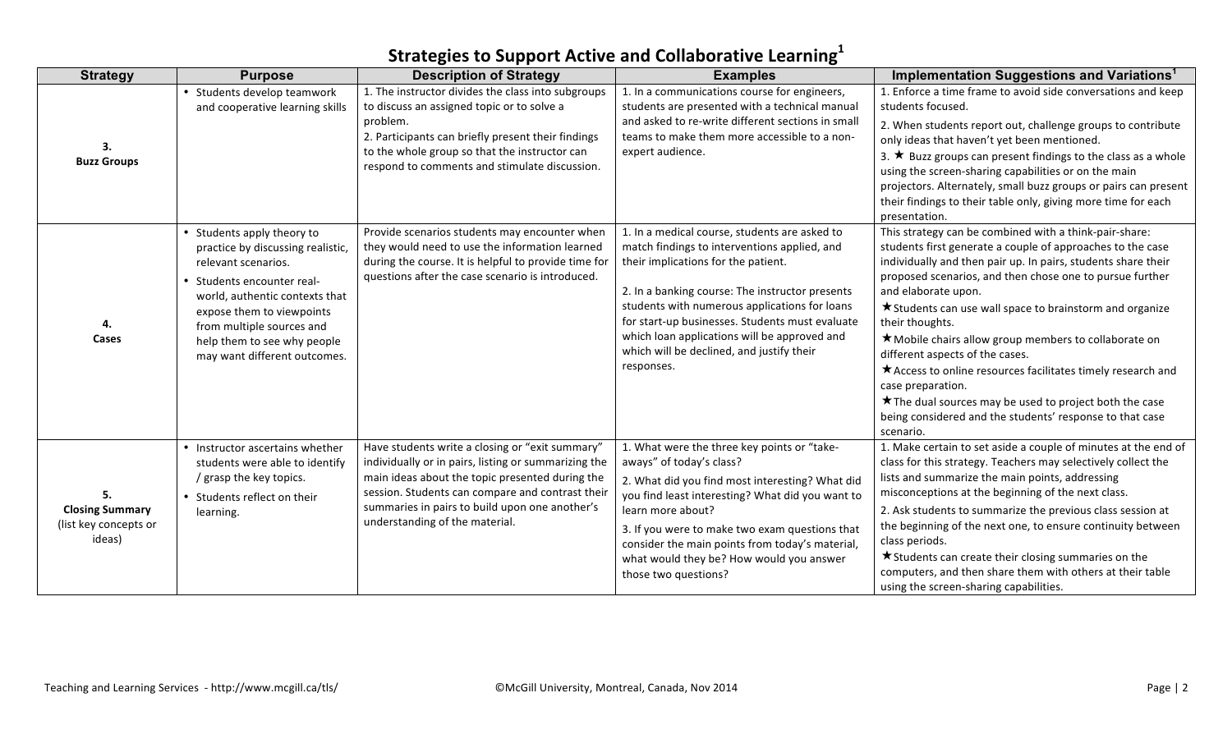| <b>Strategy</b>                                           | <b>Purpose</b>                                                                                                                                                                                                                                                                  | <b>Description of Strategy</b>                                                                                                                                                                                                                                                                     | <b>Examples</b>                                                                                                                                                                                                                                                                                                                                                                                        | Implementation Suggestions and Variations <sup>1</sup>                                                                                                                                                                                                                                                                                                                                                                                                                                                                                                                                                                                                                              |
|-----------------------------------------------------------|---------------------------------------------------------------------------------------------------------------------------------------------------------------------------------------------------------------------------------------------------------------------------------|----------------------------------------------------------------------------------------------------------------------------------------------------------------------------------------------------------------------------------------------------------------------------------------------------|--------------------------------------------------------------------------------------------------------------------------------------------------------------------------------------------------------------------------------------------------------------------------------------------------------------------------------------------------------------------------------------------------------|-------------------------------------------------------------------------------------------------------------------------------------------------------------------------------------------------------------------------------------------------------------------------------------------------------------------------------------------------------------------------------------------------------------------------------------------------------------------------------------------------------------------------------------------------------------------------------------------------------------------------------------------------------------------------------------|
| 3.<br><b>Buzz Groups</b>                                  | • Students develop teamwork<br>and cooperative learning skills                                                                                                                                                                                                                  | 1. The instructor divides the class into subgroups<br>to discuss an assigned topic or to solve a<br>problem.<br>2. Participants can briefly present their findings<br>to the whole group so that the instructor can<br>respond to comments and stimulate discussion.                               | 1. In a communications course for engineers,<br>students are presented with a technical manual<br>and asked to re-write different sections in small<br>teams to make them more accessible to a non-<br>expert audience.                                                                                                                                                                                | 1. Enforce a time frame to avoid side conversations and keep<br>students focused.<br>2. When students report out, challenge groups to contribute<br>only ideas that haven't yet been mentioned.<br>3. ★ Buzz groups can present findings to the class as a whole<br>using the screen-sharing capabilities or on the main<br>projectors. Alternately, small buzz groups or pairs can present<br>their findings to their table only, giving more time for each<br>presentation.                                                                                                                                                                                                       |
| 4<br>Cases                                                | • Students apply theory to<br>practice by discussing realistic,<br>relevant scenarios.<br>• Students encounter real-<br>world, authentic contexts that<br>expose them to viewpoints<br>from multiple sources and<br>help them to see why people<br>may want different outcomes. | Provide scenarios students may encounter when<br>they would need to use the information learned<br>during the course. It is helpful to provide time for<br>questions after the case scenario is introduced.                                                                                        | 1. In a medical course, students are asked to<br>match findings to interventions applied, and<br>their implications for the patient.<br>2. In a banking course: The instructor presents<br>students with numerous applications for loans<br>for start-up businesses. Students must evaluate<br>which loan applications will be approved and<br>which will be declined, and justify their<br>responses. | This strategy can be combined with a think-pair-share:<br>students first generate a couple of approaches to the case<br>individually and then pair up. In pairs, students share their<br>proposed scenarios, and then chose one to pursue further<br>and elaborate upon.<br><b>★</b> Students can use wall space to brainstorm and organize<br>their thoughts.<br>★ Mobile chairs allow group members to collaborate on<br>different aspects of the cases.<br>* Access to online resources facilitates timely research and<br>case preparation.<br>★ The dual sources may be used to project both the case<br>being considered and the students' response to that case<br>scenario. |
| <b>Closing Summary</b><br>(list key concepts or<br>ideas) | • Instructor ascertains whether<br>students were able to identify<br>/ grasp the key topics.<br>• Students reflect on their<br>learning.                                                                                                                                        | Have students write a closing or "exit summary"<br>individually or in pairs, listing or summarizing the<br>main ideas about the topic presented during the<br>session. Students can compare and contrast their<br>summaries in pairs to build upon one another's<br>understanding of the material. | 1. What were the three key points or "take-<br>aways" of today's class?<br>2. What did you find most interesting? What did<br>you find least interesting? What did you want to<br>learn more about?<br>3. If you were to make two exam questions that<br>consider the main points from today's material,<br>what would they be? How would you answer<br>those two questions?                           | 1. Make certain to set aside a couple of minutes at the end of<br>class for this strategy. Teachers may selectively collect the<br>lists and summarize the main points, addressing<br>misconceptions at the beginning of the next class.<br>2. Ask students to summarize the previous class session at<br>the beginning of the next one, to ensure continuity between<br>class periods.<br>$\star$ Students can create their closing summaries on the<br>computers, and then share them with others at their table<br>using the screen-sharing capabilities.                                                                                                                        |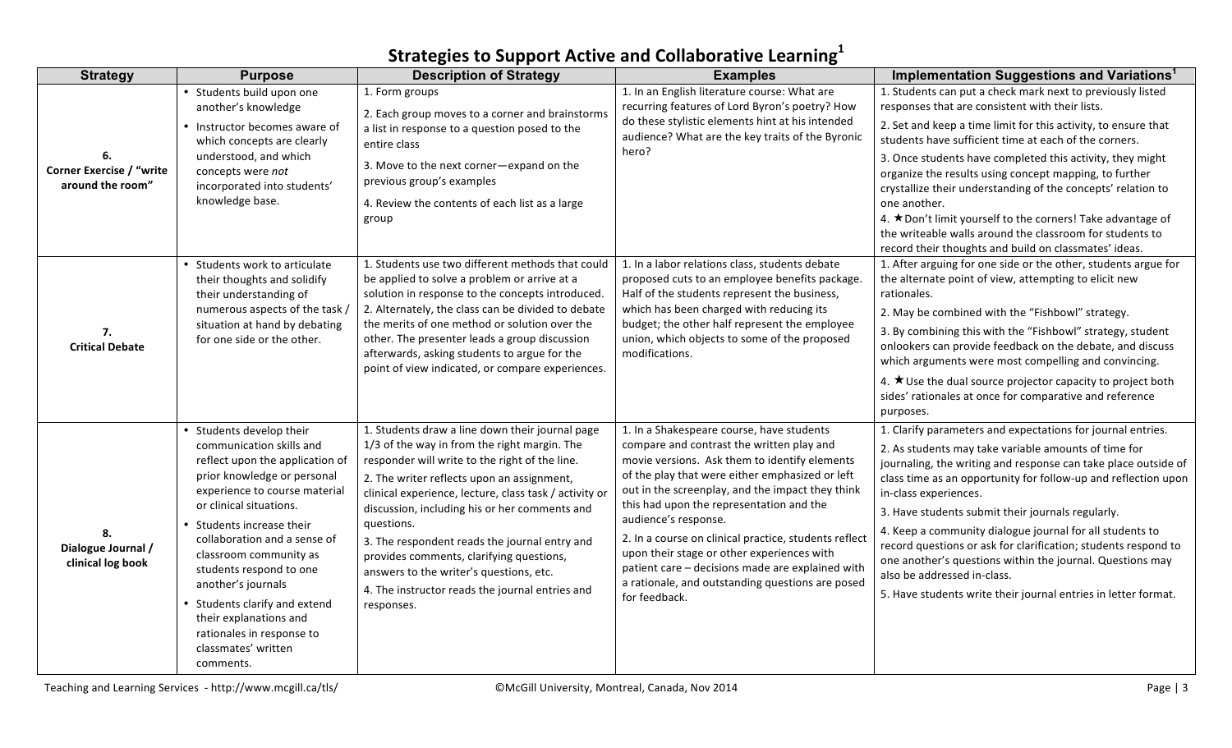| <b>Strategy</b>                                     | <b>Purpose</b>                                                                                                                                                                                                                                                                                                                                                                                                                                         | <b>Description of Strategy</b>                                                                                                                                                                                                                                                                                                                                                                                                                                                                                                    | <b>Examples</b>                                                                                                                                                                                                                                                                                                                                                                                                                                                                                                                                    | Implementation Suggestions and Variations <sup>1</sup>                                                                                                                                                                                                                                                                                                                                                                                                                                                                                                                                                                             |
|-----------------------------------------------------|--------------------------------------------------------------------------------------------------------------------------------------------------------------------------------------------------------------------------------------------------------------------------------------------------------------------------------------------------------------------------------------------------------------------------------------------------------|-----------------------------------------------------------------------------------------------------------------------------------------------------------------------------------------------------------------------------------------------------------------------------------------------------------------------------------------------------------------------------------------------------------------------------------------------------------------------------------------------------------------------------------|----------------------------------------------------------------------------------------------------------------------------------------------------------------------------------------------------------------------------------------------------------------------------------------------------------------------------------------------------------------------------------------------------------------------------------------------------------------------------------------------------------------------------------------------------|------------------------------------------------------------------------------------------------------------------------------------------------------------------------------------------------------------------------------------------------------------------------------------------------------------------------------------------------------------------------------------------------------------------------------------------------------------------------------------------------------------------------------------------------------------------------------------------------------------------------------------|
| <b>Corner Exercise / "write</b><br>around the room" | • Students build upon one<br>another's knowledge<br>• Instructor becomes aware of<br>which concepts are clearly<br>understood, and which<br>concepts were not<br>incorporated into students'<br>knowledge base.                                                                                                                                                                                                                                        | 1. Form groups<br>2. Each group moves to a corner and brainstorms<br>a list in response to a question posed to the<br>entire class<br>3. Move to the next corner-expand on the<br>previous group's examples<br>4. Review the contents of each list as a large<br>group                                                                                                                                                                                                                                                            | 1. In an English literature course: What are<br>recurring features of Lord Byron's poetry? How<br>do these stylistic elements hint at his intended<br>audience? What are the key traits of the Byronic<br>hero?                                                                                                                                                                                                                                                                                                                                    | 1. Students can put a check mark next to previously listed<br>responses that are consistent with their lists.<br>2. Set and keep a time limit for this activity, to ensure that<br>students have sufficient time at each of the corners.<br>3. Once students have completed this activity, they might<br>organize the results using concept mapping, to further<br>crystallize their understanding of the concepts' relation to<br>one another.<br>4. ★Don't limit yourself to the corners! Take advantage of<br>the writeable walls around the classroom for students to<br>record their thoughts and build on classmates' ideas. |
| 7.<br><b>Critical Debate</b>                        | • Students work to articulate<br>their thoughts and solidify<br>their understanding of<br>numerous aspects of the task,<br>situation at hand by debating<br>for one side or the other.                                                                                                                                                                                                                                                                 | 1. Students use two different methods that could<br>be applied to solve a problem or arrive at a<br>solution in response to the concepts introduced.<br>2. Alternately, the class can be divided to debate<br>the merits of one method or solution over the<br>other. The presenter leads a group discussion<br>afterwards, asking students to argue for the<br>point of view indicated, or compare experiences.                                                                                                                  | 1. In a labor relations class, students debate<br>proposed cuts to an employee benefits package.<br>Half of the students represent the business,<br>which has been charged with reducing its<br>budget; the other half represent the employee<br>union, which objects to some of the proposed<br>modifications.                                                                                                                                                                                                                                    | 1. After arguing for one side or the other, students argue for<br>the alternate point of view, attempting to elicit new<br>rationales.<br>2. May be combined with the "Fishbowl" strategy.<br>3. By combining this with the "Fishbowl" strategy, student<br>onlookers can provide feedback on the debate, and discuss<br>which arguments were most compelling and convincing.<br>4. $\star$ Use the dual source projector capacity to project both<br>sides' rationales at once for comparative and reference<br>purposes.                                                                                                         |
| 8.<br>Dialogue Journal /<br>clinical log book       | • Students develop their<br>communication skills and<br>reflect upon the application of<br>prior knowledge or personal<br>experience to course material<br>or clinical situations.<br>• Students increase their<br>collaboration and a sense of<br>classroom community as<br>students respond to one<br>another's journals<br>• Students clarify and extend<br>their explanations and<br>rationales in response to<br>classmates' written<br>comments. | 1. Students draw a line down their journal page<br>1/3 of the way in from the right margin. The<br>responder will write to the right of the line.<br>2. The writer reflects upon an assignment,<br>clinical experience, lecture, class task / activity or<br>discussion, including his or her comments and<br>questions.<br>3. The respondent reads the journal entry and<br>provides comments, clarifying questions,<br>answers to the writer's questions, etc.<br>4. The instructor reads the journal entries and<br>responses. | 1. In a Shakespeare course, have students<br>compare and contrast the written play and<br>movie versions. Ask them to identify elements<br>of the play that were either emphasized or left<br>out in the screenplay, and the impact they think<br>this had upon the representation and the<br>audience's response.<br>2. In a course on clinical practice, students reflect<br>upon their stage or other experiences with<br>patient care - decisions made are explained with<br>a rationale, and outstanding questions are posed<br>for feedback. | 1. Clarify parameters and expectations for journal entries.<br>2. As students may take variable amounts of time for<br>journaling, the writing and response can take place outside of<br>class time as an opportunity for follow-up and reflection upon<br>in-class experiences.<br>3. Have students submit their journals regularly.<br>4. Keep a community dialogue journal for all students to<br>record questions or ask for clarification; students respond to<br>one another's questions within the journal. Questions may<br>also be addressed in-class.<br>5. Have students write their journal entries in letter format.  |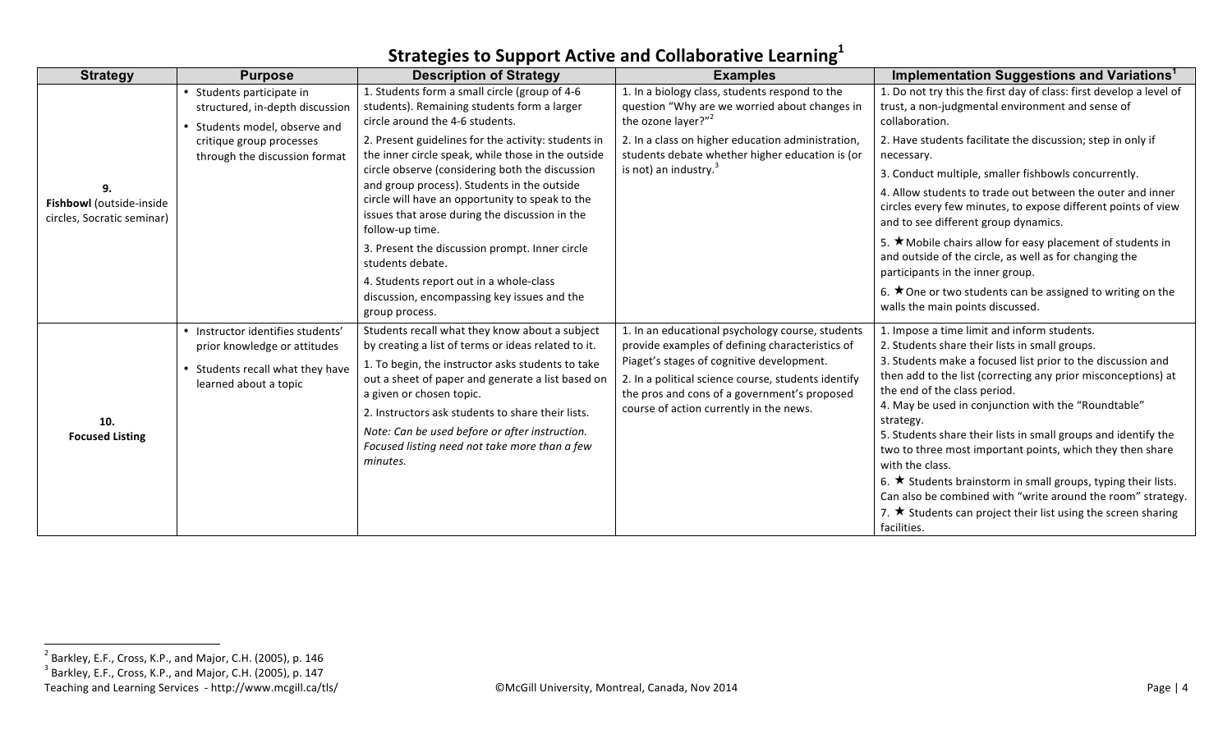| <b>Strategy</b>                                        | <b>Purpose</b>                                                                                | <b>Description of Strategy</b>                                                                                                                                                                                                                                 | <b>Examples</b>                                                                                                                                  | Implementation Suggestions and Variations <sup>1</sup>                                                                                                                                                             |
|--------------------------------------------------------|-----------------------------------------------------------------------------------------------|----------------------------------------------------------------------------------------------------------------------------------------------------------------------------------------------------------------------------------------------------------------|--------------------------------------------------------------------------------------------------------------------------------------------------|--------------------------------------------------------------------------------------------------------------------------------------------------------------------------------------------------------------------|
|                                                        | • Students participate in<br>structured, in-depth discussion<br>• Students model, observe and | 1. Students form a small circle (group of 4-6<br>students). Remaining students form a larger<br>circle around the 4-6 students.                                                                                                                                | 1. In a biology class, students respond to the<br>question "Why are we worried about changes in<br>the ozone layer?" <sup>2</sup>                | 1. Do not try this the first day of class: first develop a level of<br>trust, a non-judgmental environment and sense of<br>collaboration.                                                                          |
| 9.                                                     | critique group processes<br>through the discussion format                                     | 2. Present guidelines for the activity: students in<br>the inner circle speak, while those in the outside<br>circle observe (considering both the discussion<br>and group process). Students in the outside<br>circle will have an opportunity to speak to the | 2. In a class on higher education administration,<br>students debate whether higher education is (or<br>is not) an industry. <sup>3</sup>        | 2. Have students facilitate the discussion; step in only if<br>necessary.<br>3. Conduct multiple, smaller fishbowls concurrently.<br>4. Allow students to trade out between the outer and inner                    |
| Fishbowl (outside-inside<br>circles, Socratic seminar) |                                                                                               | issues that arose during the discussion in the<br>follow-up time.                                                                                                                                                                                              |                                                                                                                                                  | circles every few minutes, to expose different points of view<br>and to see different group dynamics.                                                                                                              |
|                                                        |                                                                                               | 3. Present the discussion prompt. Inner circle<br>students debate.                                                                                                                                                                                             |                                                                                                                                                  | 5. $\star$ Mobile chairs allow for easy placement of students in<br>and outside of the circle, as well as for changing the<br>participants in the inner group.                                                     |
|                                                        |                                                                                               | 4. Students report out in a whole-class<br>discussion, encompassing key issues and the<br>group process.                                                                                                                                                       |                                                                                                                                                  | 6. ★ One or two students can be assigned to writing on the<br>walls the main points discussed.                                                                                                                     |
|                                                        | · Instructor identifies students'<br>prior knowledge or attitudes                             | Students recall what they know about a subject<br>by creating a list of terms or ideas related to it.                                                                                                                                                          | 1. In an educational psychology course, students<br>provide examples of defining characteristics of                                              | 1. Impose a time limit and inform students.<br>2. Students share their lists in small groups.                                                                                                                      |
|                                                        | • Students recall what they have<br>learned about a topic                                     | 1. To begin, the instructor asks students to take<br>out a sheet of paper and generate a list based on<br>a given or chosen topic.                                                                                                                             | Piaget's stages of cognitive development.<br>2. In a political science course, students identify<br>the pros and cons of a government's proposed | 3. Students make a focused list prior to the discussion and<br>then add to the list (correcting any prior misconceptions) at<br>the end of the class period.                                                       |
| 10.                                                    |                                                                                               | 2. Instructors ask students to share their lists.                                                                                                                                                                                                              | course of action currently in the news.                                                                                                          | 4. May be used in conjunction with the "Roundtable"<br>strategy.                                                                                                                                                   |
| <b>Focused Listing</b>                                 |                                                                                               | Note: Can be used before or after instruction.<br>Focused listing need not take more than a few<br>minutes.                                                                                                                                                    |                                                                                                                                                  | 5. Students share their lists in small groups and identify the<br>two to three most important points, which they then share<br>with the class.                                                                     |
|                                                        |                                                                                               |                                                                                                                                                                                                                                                                |                                                                                                                                                  | 6. ★ Students brainstorm in small groups, typing their lists.<br>Can also be combined with "write around the room" strategy.<br>7. $\star$ Students can project their list using the screen sharing<br>facilities. |

 $2$  Barkley, E.F., Cross, K.P., and Major, C.H. (2005), p. 146  $3$  Barkley, E.F., Cross, K.P., and Major, C.H. (2005), p. 147

Teaching and Learning Services - http://www.mcgill.ca/tls/ **Website Accill** University, Montreal, Canada, Nov 2014 Page is a service of the services of the Page | 4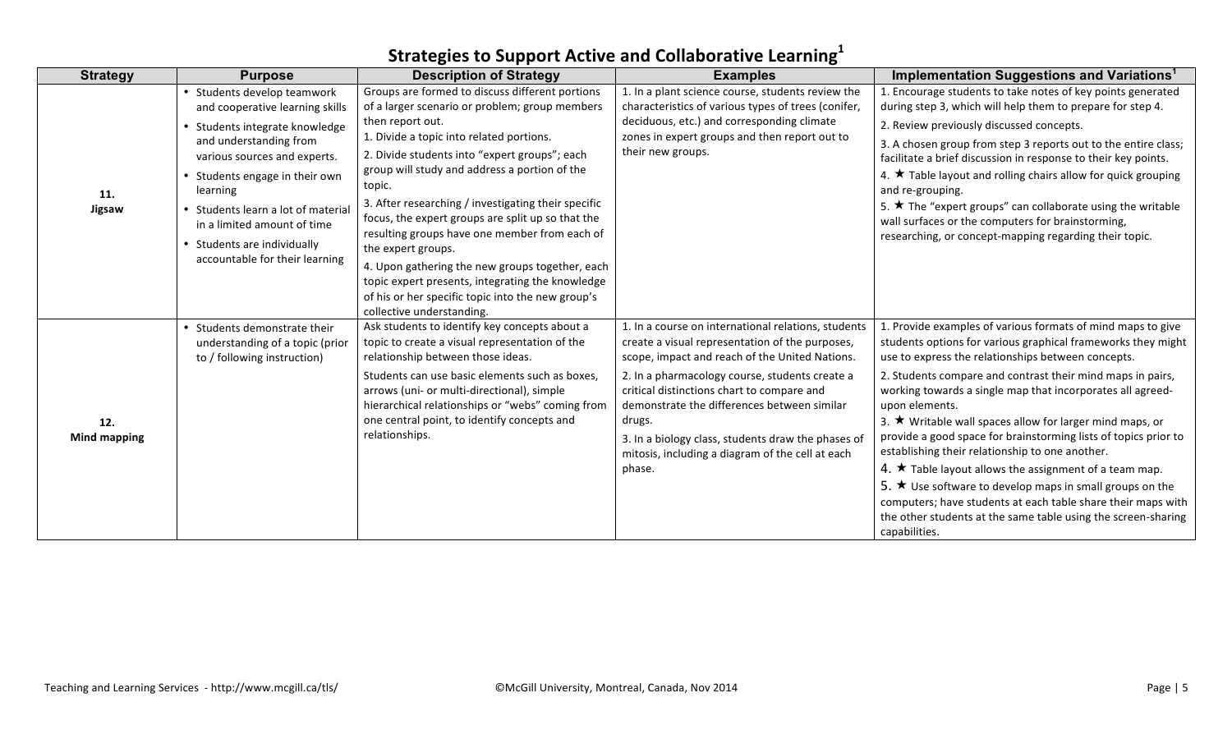#### **Strategy Purpose Description of Strategy Examples Implementation Suggestions and Variations<sup>1</sup> 11. Jigsaw** • Students develop teamwork and cooperative learning skills Students integrate knowledge and understanding from various sources and experts. • Students engage in their own learning • Students learn a lot of material in a limited amount of time • Students are individually accountable for their learning Groups are formed to discuss different portions of a larger scenario or problem; group members then report out. 1. Divide a topic into related portions. 2. Divide students into "expert groups"; each group will study and address a portion of the topic. 3. After researching / investigating their specific focus, the expert groups are split up so that the resulting groups have one member from each of the expert groups. 4. Upon gathering the new groups together, each topic expert presents, integrating the knowledge of his or her specific topic into the new group's collective understanding. 1. In a plant science course, students review the characteristics of various types of trees (conifer, deciduous, etc.) and corresponding climate zones in expert groups and then report out to their new groups. 1. Encourage students to take notes of key points generated during step 3, which will help them to prepare for step 4. 2. Review previously discussed concepts. 3. A chosen group from step 3 reports out to the entire class: facilitate a brief discussion in response to their key points. 4.  $\star$  Table layout and rolling chairs allow for quick grouping and re-grouping. 5.  $\star$  The "expert groups" can collaborate using the writable wall surfaces or the computers for brainstorming. researching, or concept-mapping regarding their topic. **12. Mind mapping** Students demonstrate their understanding of a topic (prior to / following instruction) Ask students to identify key concepts about a topic to create a visual representation of the relationship between those ideas. Students can use basic elements such as boxes, arrows (uni- or multi-directional), simple hierarchical relationships or "webs" coming from one central point, to identify concepts and relationships. 1. In a course on international relations, students create a visual representation of the purposes, scope, impact and reach of the United Nations. 2. In a pharmacology course, students create a critical distinctions chart to compare and demonstrate the differences between similar drugs. 3. In a biology class, students draw the phases of mitosis, including a diagram of the cell at each phase. 1. Provide examples of various formats of mind maps to give students options for various graphical frameworks they might use to express the relationships between concepts. 2. Students compare and contrast their mind maps in pairs, working towards a single map that incorporates all agreedupon elements. 3.  $\star$  Writable wall spaces allow for larger mind maps, or provide a good space for brainstorming lists of topics prior to establishing their relationship to one another. 4.  $\star$  Table layout allows the assignment of a team map. 5.  $\star$  Use software to develop maps in small groups on the computers; have students at each table share their maps with the other students at the same table using the screen-sharing capabilities.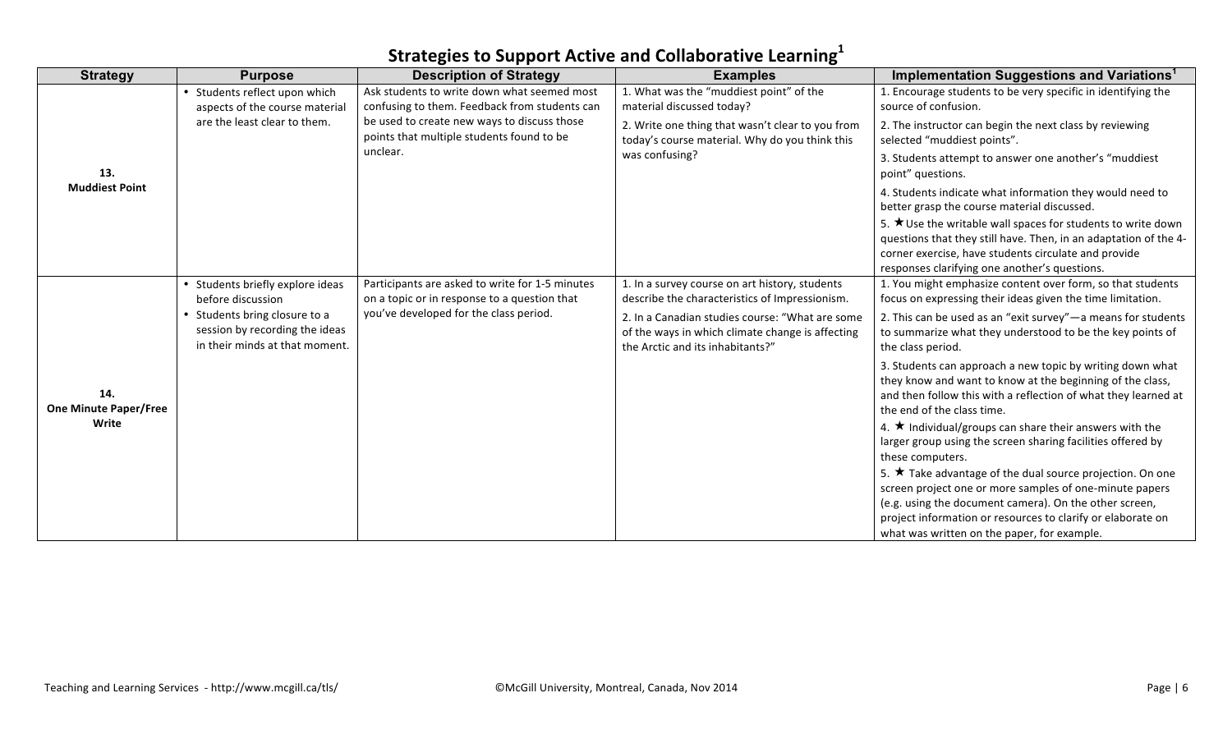| <b>Strategy</b>                     | <b>Purpose</b>                                                                                    | <b>Description of Strategy</b>                                                                                                            | <b>Examples</b>                                                                                                                         | Implementation Suggestions and Variations <sup>1</sup>                                                                                                                                                                                          |
|-------------------------------------|---------------------------------------------------------------------------------------------------|-------------------------------------------------------------------------------------------------------------------------------------------|-----------------------------------------------------------------------------------------------------------------------------------------|-------------------------------------------------------------------------------------------------------------------------------------------------------------------------------------------------------------------------------------------------|
|                                     | • Students reflect upon which                                                                     | Ask students to write down what seemed most                                                                                               | 1. What was the "muddiest point" of the                                                                                                 | 1. Encourage students to be very specific in identifying the                                                                                                                                                                                    |
|                                     | aspects of the course material<br>are the least clear to them.                                    | confusing to them. Feedback from students can<br>be used to create new ways to discuss those<br>points that multiple students found to be | material discussed today?<br>2. Write one thing that wasn't clear to you from<br>today's course material. Why do you think this         | source of confusion.<br>2. The instructor can begin the next class by reviewing<br>selected "muddiest points".                                                                                                                                  |
| 13.                                 |                                                                                                   | unclear.                                                                                                                                  | was confusing?                                                                                                                          | 3. Students attempt to answer one another's "muddiest<br>point" questions.                                                                                                                                                                      |
| <b>Muddiest Point</b>               |                                                                                                   |                                                                                                                                           |                                                                                                                                         | 4. Students indicate what information they would need to<br>better grasp the course material discussed.                                                                                                                                         |
|                                     |                                                                                                   |                                                                                                                                           |                                                                                                                                         | 5. $\star$ Use the writable wall spaces for students to write down<br>questions that they still have. Then, in an adaptation of the 4-<br>corner exercise, have students circulate and provide<br>responses clarifying one another's questions. |
|                                     | • Students briefly explore ideas<br>before discussion                                             | Participants are asked to write for 1-5 minutes<br>on a topic or in response to a question that                                           | 1. In a survey course on art history, students<br>describe the characteristics of Impressionism.                                        | 1. You might emphasize content over form, so that students<br>focus on expressing their ideas given the time limitation.                                                                                                                        |
|                                     | • Students bring closure to a<br>session by recording the ideas<br>in their minds at that moment. | you've developed for the class period.                                                                                                    | 2. In a Canadian studies course: "What are some<br>of the ways in which climate change is affecting<br>the Arctic and its inhabitants?" | 2. This can be used as an "exit survey"-a means for students<br>to summarize what they understood to be the key points of<br>the class period.                                                                                                  |
| 14.<br><b>One Minute Paper/Free</b> |                                                                                                   |                                                                                                                                           |                                                                                                                                         | 3. Students can approach a new topic by writing down what<br>they know and want to know at the beginning of the class,<br>and then follow this with a reflection of what they learned at<br>the end of the class time.                          |
| Write                               |                                                                                                   |                                                                                                                                           |                                                                                                                                         | 4. $\star$ Individual/groups can share their answers with the<br>larger group using the screen sharing facilities offered by<br>these computers.                                                                                                |
|                                     |                                                                                                   |                                                                                                                                           |                                                                                                                                         | 5. $\star$ Take advantage of the dual source projection. On one<br>screen project one or more samples of one-minute papers                                                                                                                      |
|                                     |                                                                                                   |                                                                                                                                           |                                                                                                                                         | (e.g. using the document camera). On the other screen,<br>project information or resources to clarify or elaborate on<br>what was written on the paper, for example.                                                                            |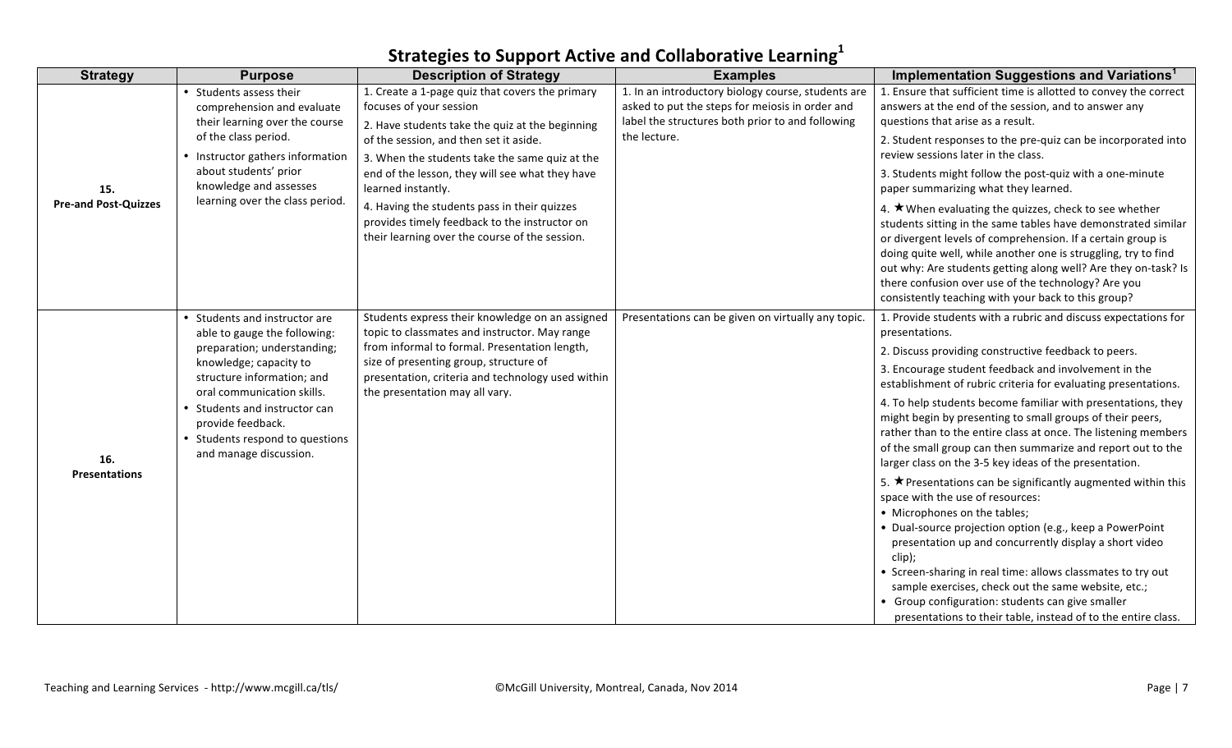| <b>Strategy</b>             | <b>Purpose</b>                                                                                                  | <b>Description of Strategy</b>                                                                                                                  | <b>Examples</b>                                                                                                                                           | Implementation Suggestions and Variations <sup>1</sup>                                                                                                                                                                                                                                                                                                                                                                                         |
|-----------------------------|-----------------------------------------------------------------------------------------------------------------|-------------------------------------------------------------------------------------------------------------------------------------------------|-----------------------------------------------------------------------------------------------------------------------------------------------------------|------------------------------------------------------------------------------------------------------------------------------------------------------------------------------------------------------------------------------------------------------------------------------------------------------------------------------------------------------------------------------------------------------------------------------------------------|
|                             | • Students assess their<br>comprehension and evaluate<br>their learning over the course                         | 1. Create a 1-page quiz that covers the primary<br>focuses of your session<br>2. Have students take the quiz at the beginning                   | 1. In an introductory biology course, students are<br>asked to put the steps for meiosis in order and<br>label the structures both prior to and following | 1. Ensure that sufficient time is allotted to convey the correct<br>answers at the end of the session, and to answer any<br>questions that arise as a result.                                                                                                                                                                                                                                                                                  |
|                             | of the class period.<br>• Instructor gathers information                                                        | of the session, and then set it aside.<br>3. When the students take the same quiz at the                                                        | the lecture.                                                                                                                                              | 2. Student responses to the pre-quiz can be incorporated into<br>review sessions later in the class.                                                                                                                                                                                                                                                                                                                                           |
| 15.                         | about students' prior<br>knowledge and assesses                                                                 | end of the lesson, they will see what they have<br>learned instantly.                                                                           |                                                                                                                                                           | 3. Students might follow the post-quiz with a one-minute<br>paper summarizing what they learned.                                                                                                                                                                                                                                                                                                                                               |
| <b>Pre-and Post-Quizzes</b> | learning over the class period.                                                                                 | 4. Having the students pass in their quizzes<br>provides timely feedback to the instructor on<br>their learning over the course of the session. |                                                                                                                                                           | 4. $\star$ When evaluating the quizzes, check to see whether<br>students sitting in the same tables have demonstrated similar<br>or divergent levels of comprehension. If a certain group is<br>doing quite well, while another one is struggling, try to find<br>out why: Are students getting along well? Are they on-task? Is<br>there confusion over use of the technology? Are you<br>consistently teaching with your back to this group? |
|                             | • Students and instructor are<br>able to gauge the following:                                                   | Students express their knowledge on an assigned<br>topic to classmates and instructor. May range                                                | Presentations can be given on virtually any topic.                                                                                                        | 1. Provide students with a rubric and discuss expectations for<br>presentations.                                                                                                                                                                                                                                                                                                                                                               |
|                             | preparation; understanding;                                                                                     | from informal to formal. Presentation length,<br>size of presenting group, structure of                                                         |                                                                                                                                                           | 2. Discuss providing constructive feedback to peers.                                                                                                                                                                                                                                                                                                                                                                                           |
|                             | knowledge; capacity to<br>structure information; and<br>oral communication skills.                              | presentation, criteria and technology used within<br>the presentation may all vary.                                                             |                                                                                                                                                           | 3. Encourage student feedback and involvement in the<br>establishment of rubric criteria for evaluating presentations.                                                                                                                                                                                                                                                                                                                         |
| 16.                         | • Students and instructor can<br>provide feedback.<br>• Students respond to questions<br>and manage discussion. |                                                                                                                                                 |                                                                                                                                                           | 4. To help students become familiar with presentations, they<br>might begin by presenting to small groups of their peers,<br>rather than to the entire class at once. The listening members<br>of the small group can then summarize and report out to the<br>larger class on the 3-5 key ideas of the presentation.                                                                                                                           |
| Presentations               |                                                                                                                 |                                                                                                                                                 |                                                                                                                                                           | 5. $\star$ Presentations can be significantly augmented within this<br>space with the use of resources:<br>• Microphones on the tables;<br>• Dual-source projection option (e.g., keep a PowerPoint<br>presentation up and concurrently display a short video                                                                                                                                                                                  |
|                             |                                                                                                                 |                                                                                                                                                 |                                                                                                                                                           | clip);<br>• Screen-sharing in real time: allows classmates to try out<br>sample exercises, check out the same website, etc.;<br>• Group configuration: students can give smaller<br>presentations to their table, instead of to the entire class.                                                                                                                                                                                              |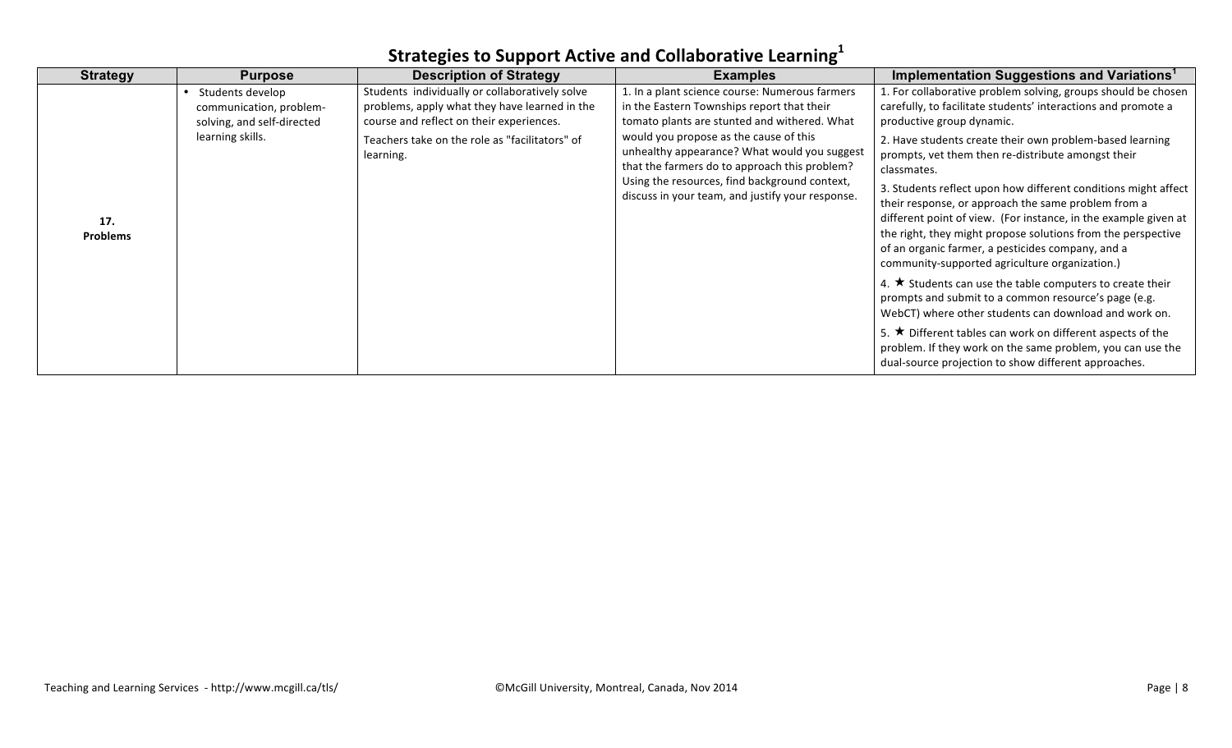| <b>Strategy</b>        | <b>Purpose</b>                                                            | <b>Description of Strategy</b>                                                                                                              | <b>Examples</b>                                                                                                                              | Implementation Suggestions and Variations <sup>1</sup>                                                                                                                                                                                                                                                                                                          |
|------------------------|---------------------------------------------------------------------------|---------------------------------------------------------------------------------------------------------------------------------------------|----------------------------------------------------------------------------------------------------------------------------------------------|-----------------------------------------------------------------------------------------------------------------------------------------------------------------------------------------------------------------------------------------------------------------------------------------------------------------------------------------------------------------|
|                        | Students develop<br>communication, problem-<br>solving, and self-directed | Students individually or collaboratively solve<br>problems, apply what they have learned in the<br>course and reflect on their experiences. | 1. In a plant science course: Numerous farmers<br>in the Eastern Townships report that their<br>tomato plants are stunted and withered. What | 1. For collaborative problem solving, groups should be chosen<br>carefully, to facilitate students' interactions and promote a<br>productive group dynamic.                                                                                                                                                                                                     |
|                        | learning skills.                                                          | Teachers take on the role as "facilitators" of<br>learning.                                                                                 | would you propose as the cause of this<br>unhealthy appearance? What would you suggest<br>that the farmers do to approach this problem?      | 2. Have students create their own problem-based learning<br>prompts, vet them then re-distribute amongst their<br>classmates.                                                                                                                                                                                                                                   |
| 17.<br><b>Problems</b> |                                                                           |                                                                                                                                             | Using the resources, find background context,<br>discuss in your team, and justify your response.                                            | 3. Students reflect upon how different conditions might affect<br>their response, or approach the same problem from a<br>different point of view. (For instance, in the example given at<br>the right, they might propose solutions from the perspective<br>of an organic farmer, a pesticides company, and a<br>community-supported agriculture organization.) |
|                        |                                                                           |                                                                                                                                             |                                                                                                                                              | 4. $\star$ Students can use the table computers to create their<br>prompts and submit to a common resource's page (e.g.<br>WebCT) where other students can download and work on.                                                                                                                                                                                |
|                        |                                                                           |                                                                                                                                             |                                                                                                                                              | 5. $\star$ Different tables can work on different aspects of the<br>problem. If they work on the same problem, you can use the<br>dual-source projection to show different approaches.                                                                                                                                                                          |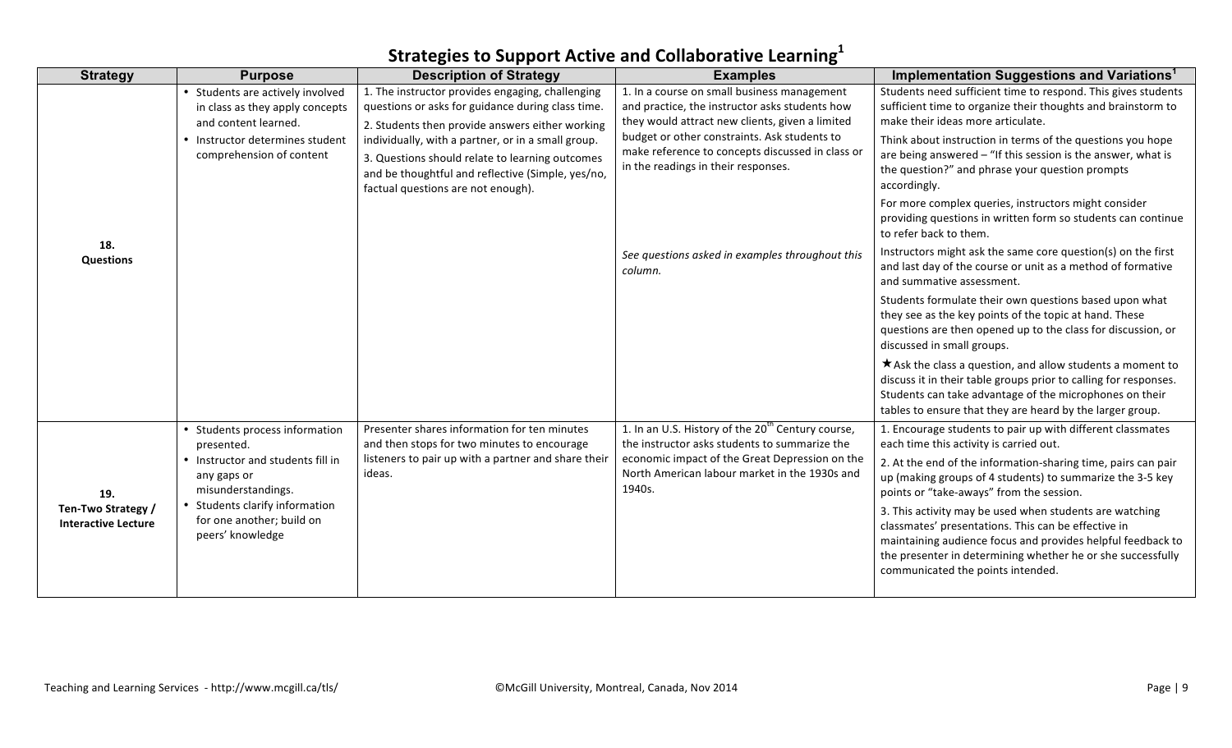| <b>Strategy</b>                                  | <b>Purpose</b>                                                                                                                                             | <b>Description of Strategy</b>                                                                                                                                                                                                                                                                                                                               | <b>Examples</b>                                                                                                                                                                                                                                                                             | Implementation Suggestions and Variations <sup>1</sup>                                                                                                                                                                                                                                                                                                              |
|--------------------------------------------------|------------------------------------------------------------------------------------------------------------------------------------------------------------|--------------------------------------------------------------------------------------------------------------------------------------------------------------------------------------------------------------------------------------------------------------------------------------------------------------------------------------------------------------|---------------------------------------------------------------------------------------------------------------------------------------------------------------------------------------------------------------------------------------------------------------------------------------------|---------------------------------------------------------------------------------------------------------------------------------------------------------------------------------------------------------------------------------------------------------------------------------------------------------------------------------------------------------------------|
|                                                  | • Students are actively involved<br>in class as they apply concepts<br>and content learned.<br>• Instructor determines student<br>comprehension of content | 1. The instructor provides engaging, challenging<br>questions or asks for guidance during class time.<br>2. Students then provide answers either working<br>individually, with a partner, or in a small group.<br>3. Questions should relate to learning outcomes<br>and be thoughtful and reflective (Simple, yes/no,<br>factual questions are not enough). | 1. In a course on small business management<br>and practice, the instructor asks students how<br>they would attract new clients, given a limited<br>budget or other constraints. Ask students to<br>make reference to concepts discussed in class or<br>in the readings in their responses. | Students need sufficient time to respond. This gives students<br>sufficient time to organize their thoughts and brainstorm to<br>make their ideas more articulate.<br>Think about instruction in terms of the questions you hope<br>are being answered - "If this session is the answer, what is<br>the question?" and phrase your question prompts<br>accordingly. |
| 18.<br><b>Questions</b>                          |                                                                                                                                                            |                                                                                                                                                                                                                                                                                                                                                              |                                                                                                                                                                                                                                                                                             | For more complex queries, instructors might consider<br>providing questions in written form so students can continue<br>to refer back to them.                                                                                                                                                                                                                      |
|                                                  |                                                                                                                                                            |                                                                                                                                                                                                                                                                                                                                                              | See questions asked in examples throughout this<br>column.                                                                                                                                                                                                                                  | Instructors might ask the same core question(s) on the first<br>and last day of the course or unit as a method of formative<br>and summative assessment.                                                                                                                                                                                                            |
|                                                  |                                                                                                                                                            |                                                                                                                                                                                                                                                                                                                                                              |                                                                                                                                                                                                                                                                                             | Students formulate their own questions based upon what<br>they see as the key points of the topic at hand. These<br>questions are then opened up to the class for discussion, or<br>discussed in small groups.                                                                                                                                                      |
|                                                  |                                                                                                                                                            |                                                                                                                                                                                                                                                                                                                                                              |                                                                                                                                                                                                                                                                                             | $\star$ Ask the class a question, and allow students a moment to<br>discuss it in their table groups prior to calling for responses.<br>Students can take advantage of the microphones on their<br>tables to ensure that they are heard by the larger group.                                                                                                        |
|                                                  | • Students process information<br>presented.                                                                                                               | Presenter shares information for ten minutes<br>and then stops for two minutes to encourage                                                                                                                                                                                                                                                                  | 1. In an U.S. History of the 20 <sup>th</sup> Century course,<br>the instructor asks students to summarize the                                                                                                                                                                              | 1. Encourage students to pair up with different classmates<br>each time this activity is carried out.                                                                                                                                                                                                                                                               |
| 19.                                              | • Instructor and students fill in<br>any gaps or<br>misunderstandings.                                                                                     | listeners to pair up with a partner and share their<br>ideas.                                                                                                                                                                                                                                                                                                | economic impact of the Great Depression on the<br>North American labour market in the 1930s and<br>1940s.                                                                                                                                                                                   | 2. At the end of the information-sharing time, pairs can pair<br>up (making groups of 4 students) to summarize the 3-5 key<br>points or "take-aways" from the session.                                                                                                                                                                                              |
| Ten-Two Strategy /<br><b>Interactive Lecture</b> | • Students clarify information<br>for one another; build on<br>peers' knowledge                                                                            |                                                                                                                                                                                                                                                                                                                                                              |                                                                                                                                                                                                                                                                                             | 3. This activity may be used when students are watching<br>classmates' presentations. This can be effective in<br>maintaining audience focus and provides helpful feedback to<br>the presenter in determining whether he or she successfully<br>communicated the points intended.                                                                                   |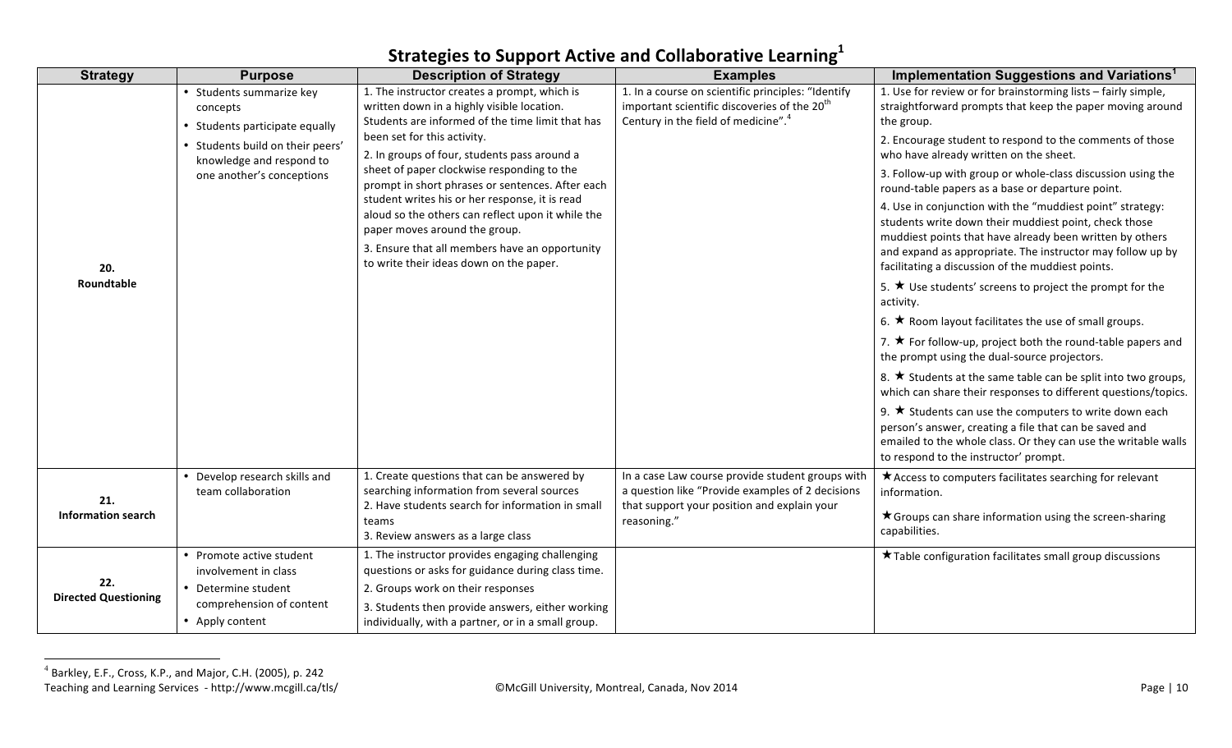| <b>Strategy</b>                    | <b>Purpose</b>                                                         | <b>Description of Strategy</b>                                                                                                                 | <b>Examples</b>                                                                                                                                                   | Implementation Suggestions and Variations <sup>1</sup>                                                                                                                                                                            |
|------------------------------------|------------------------------------------------------------------------|------------------------------------------------------------------------------------------------------------------------------------------------|-------------------------------------------------------------------------------------------------------------------------------------------------------------------|-----------------------------------------------------------------------------------------------------------------------------------------------------------------------------------------------------------------------------------|
|                                    | • Students summarize key<br>concepts<br>• Students participate equally | 1. The instructor creates a prompt, which is<br>written down in a highly visible location.<br>Students are informed of the time limit that has | 1. In a course on scientific principles: "Identify<br>important scientific discoveries of the 20 <sup>th</sup><br>Century in the field of medicine". <sup>4</sup> | 1. Use for review or for brainstorming lists - fairly simple,<br>straightforward prompts that keep the paper moving around<br>the group.                                                                                          |
|                                    | • Students build on their peers'<br>knowledge and respond to           | been set for this activity.<br>2. In groups of four, students pass around a                                                                    |                                                                                                                                                                   | 2. Encourage student to respond to the comments of those<br>who have already written on the sheet.                                                                                                                                |
|                                    | one another's conceptions                                              | sheet of paper clockwise responding to the<br>prompt in short phrases or sentences. After each                                                 |                                                                                                                                                                   | 3. Follow-up with group or whole-class discussion using the<br>round-table papers as a base or departure point.                                                                                                                   |
|                                    |                                                                        | student writes his or her response, it is read<br>aloud so the others can reflect upon it while the<br>paper moves around the group.           |                                                                                                                                                                   | 4. Use in conjunction with the "muddiest point" strategy:<br>students write down their muddiest point, check those<br>muddiest points that have already been written by others                                                    |
| 20.                                |                                                                        | 3. Ensure that all members have an opportunity<br>to write their ideas down on the paper.                                                      |                                                                                                                                                                   | and expand as appropriate. The instructor may follow up by<br>facilitating a discussion of the muddiest points.                                                                                                                   |
| Roundtable                         |                                                                        |                                                                                                                                                |                                                                                                                                                                   | 5. $\star$ Use students' screens to project the prompt for the<br>activity.                                                                                                                                                       |
|                                    |                                                                        |                                                                                                                                                |                                                                                                                                                                   | 6. $\star$ Room layout facilitates the use of small groups.                                                                                                                                                                       |
|                                    |                                                                        |                                                                                                                                                |                                                                                                                                                                   | 7. $\star$ For follow-up, project both the round-table papers and<br>the prompt using the dual-source projectors.                                                                                                                 |
|                                    |                                                                        |                                                                                                                                                |                                                                                                                                                                   | 8. $\star$ Students at the same table can be split into two groups,<br>which can share their responses to different questions/topics.                                                                                             |
|                                    |                                                                        |                                                                                                                                                |                                                                                                                                                                   | 9. $\star$ Students can use the computers to write down each<br>person's answer, creating a file that can be saved and<br>emailed to the whole class. Or they can use the writable walls<br>to respond to the instructor' prompt. |
| 21.<br><b>Information search</b>   | • Develop research skills and<br>team collaboration                    | 1. Create questions that can be answered by<br>searching information from several sources<br>2. Have students search for information in small  | In a case Law course provide student groups with<br>a question like "Provide examples of 2 decisions<br>that support your position and explain your               | * Access to computers facilitates searching for relevant<br>information.                                                                                                                                                          |
|                                    |                                                                        | teams<br>3. Review answers as a large class                                                                                                    | reasoning."                                                                                                                                                       | ★ Groups can share information using the screen-sharing<br>capabilities.                                                                                                                                                          |
|                                    | • Promote active student<br>involvement in class                       | 1. The instructor provides engaging challenging<br>questions or asks for guidance during class time.                                           |                                                                                                                                                                   | ★ Table configuration facilitates small group discussions                                                                                                                                                                         |
| 22.<br><b>Directed Questioning</b> | • Determine student                                                    | 2. Groups work on their responses                                                                                                              |                                                                                                                                                                   |                                                                                                                                                                                                                                   |
|                                    | comprehension of content<br>• Apply content                            | 3. Students then provide answers, either working<br>individually, with a partner, or in a small group.                                         |                                                                                                                                                                   |                                                                                                                                                                                                                                   |

Teaching and Learning Services - http://www.mcgill.ca/tls/ **Website Accill** University, Montreal, Canada, Nov 2014 Page is a match of the controller of the controller page is a match of the Page is a match of the Page is a  $^{4}$  Barkley, E.F., Cross, K.P., and Major, C.H. (2005), p. 242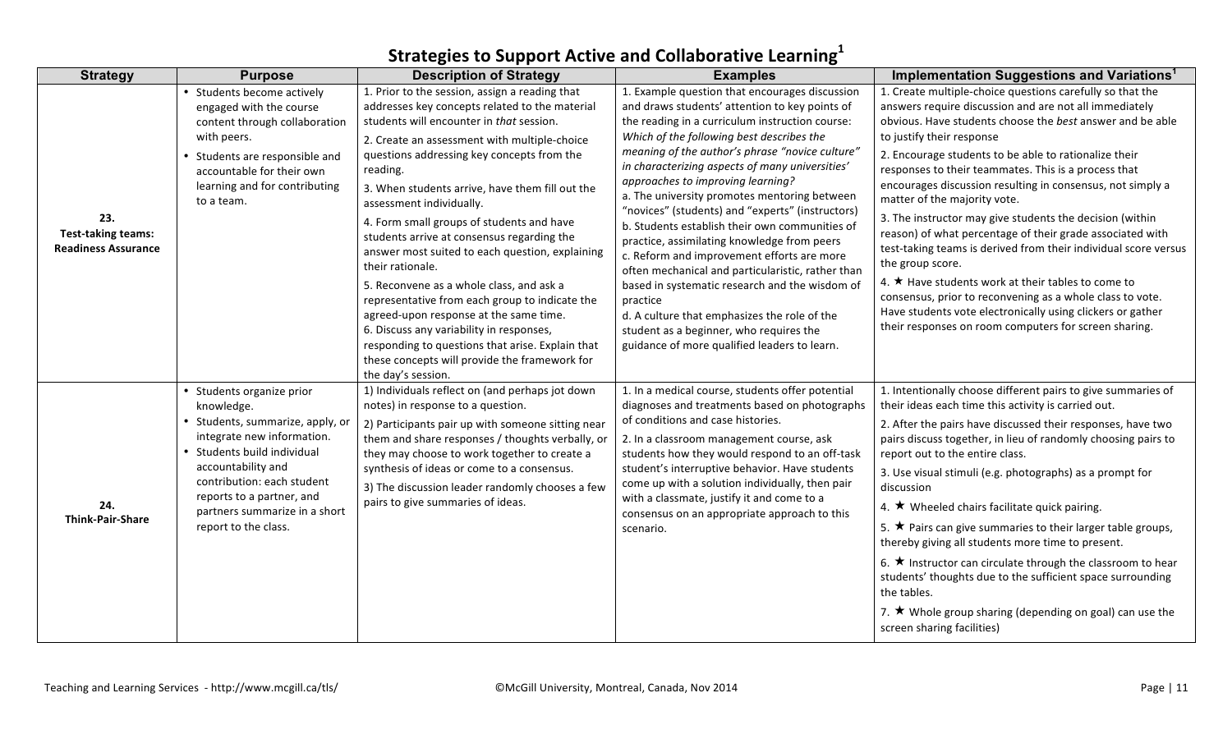| <b>Strategy</b>                                                | <b>Purpose</b>                                                                                                                                                                                                                                                                     | <b>Description of Strategy</b>                                                                                                                                                                                                                                                                                                                                                                                                                                                                                                                                                                                                                                         | <b>Examples</b>                                                                                                                                                                                                                                                                                                                                                                                                                                                                                                                                                                                                                                                                                       | Implementation Suggestions and Variations <sup>1</sup>                                                                                                                                                                                                                                                                                                                                                                                                                                                                                                                                                                                                                                                                                                                                              |
|----------------------------------------------------------------|------------------------------------------------------------------------------------------------------------------------------------------------------------------------------------------------------------------------------------------------------------------------------------|------------------------------------------------------------------------------------------------------------------------------------------------------------------------------------------------------------------------------------------------------------------------------------------------------------------------------------------------------------------------------------------------------------------------------------------------------------------------------------------------------------------------------------------------------------------------------------------------------------------------------------------------------------------------|-------------------------------------------------------------------------------------------------------------------------------------------------------------------------------------------------------------------------------------------------------------------------------------------------------------------------------------------------------------------------------------------------------------------------------------------------------------------------------------------------------------------------------------------------------------------------------------------------------------------------------------------------------------------------------------------------------|-----------------------------------------------------------------------------------------------------------------------------------------------------------------------------------------------------------------------------------------------------------------------------------------------------------------------------------------------------------------------------------------------------------------------------------------------------------------------------------------------------------------------------------------------------------------------------------------------------------------------------------------------------------------------------------------------------------------------------------------------------------------------------------------------------|
|                                                                | • Students become actively<br>engaged with the course<br>content through collaboration                                                                                                                                                                                             | 1. Prior to the session, assign a reading that<br>addresses key concepts related to the material<br>students will encounter in that session.                                                                                                                                                                                                                                                                                                                                                                                                                                                                                                                           | 1. Example question that encourages discussion<br>and draws students' attention to key points of<br>the reading in a curriculum instruction course:                                                                                                                                                                                                                                                                                                                                                                                                                                                                                                                                                   | 1. Create multiple-choice questions carefully so that the<br>answers require discussion and are not all immediately<br>obvious. Have students choose the best answer and be able                                                                                                                                                                                                                                                                                                                                                                                                                                                                                                                                                                                                                    |
| 23.<br><b>Test-taking teams:</b><br><b>Readiness Assurance</b> | with peers.<br>• Students are responsible and<br>accountable for their own<br>learning and for contributing<br>to a team.                                                                                                                                                          | 2. Create an assessment with multiple-choice<br>questions addressing key concepts from the<br>reading.<br>3. When students arrive, have them fill out the<br>assessment individually.<br>4. Form small groups of students and have<br>students arrive at consensus regarding the<br>answer most suited to each question, explaining<br>their rationale.<br>5. Reconvene as a whole class, and ask a<br>representative from each group to indicate the<br>agreed-upon response at the same time.<br>6. Discuss any variability in responses,<br>responding to questions that arise. Explain that<br>these concepts will provide the framework for<br>the day's session. | Which of the following best describes the<br>meaning of the author's phrase "novice culture'<br>in characterizing aspects of many universities'<br>approaches to improving learning?<br>a. The university promotes mentoring between<br>"novices" (students) and "experts" (instructors)<br>b. Students establish their own communities of<br>practice, assimilating knowledge from peers<br>c. Reform and improvement efforts are more<br>often mechanical and particularistic, rather than<br>based in systematic research and the wisdom of<br>practice<br>d. A culture that emphasizes the role of the<br>student as a beginner, who requires the<br>guidance of more qualified leaders to learn. | to justify their response<br>2. Encourage students to be able to rationalize their<br>responses to their teammates. This is a process that<br>encourages discussion resulting in consensus, not simply a<br>matter of the majority vote.<br>3. The instructor may give students the decision (within<br>reason) of what percentage of their grade associated with<br>test-taking teams is derived from their individual score versus<br>the group score.<br>4. ★ Have students work at their tables to come to<br>consensus, prior to reconvening as a whole class to vote.<br>Have students vote electronically using clickers or gather<br>their responses on room computers for screen sharing.                                                                                                  |
| 24.<br><b>Think-Pair-Share</b>                                 | • Students organize prior<br>knowledge.<br>• Students, summarize, apply, or<br>integrate new information.<br>• Students build individual<br>accountability and<br>contribution: each student<br>reports to a partner, and<br>partners summarize in a short<br>report to the class. | 1) Individuals reflect on (and perhaps jot down<br>notes) in response to a question.<br>2) Participants pair up with someone sitting near<br>them and share responses / thoughts verbally, or<br>they may choose to work together to create a<br>synthesis of ideas or come to a consensus.<br>3) The discussion leader randomly chooses a few<br>pairs to give summaries of ideas.                                                                                                                                                                                                                                                                                    | 1. In a medical course, students offer potential<br>diagnoses and treatments based on photographs<br>of conditions and case histories.<br>2. In a classroom management course, ask<br>students how they would respond to an off-task<br>student's interruptive behavior. Have students<br>come up with a solution individually, then pair<br>with a classmate, justify it and come to a<br>consensus on an appropriate approach to this<br>scenario.                                                                                                                                                                                                                                                  | 1. Intentionally choose different pairs to give summaries of<br>their ideas each time this activity is carried out.<br>2. After the pairs have discussed their responses, have two<br>pairs discuss together, in lieu of randomly choosing pairs to<br>report out to the entire class.<br>3. Use visual stimuli (e.g. photographs) as a prompt for<br>discussion<br>4. $\star$ Wheeled chairs facilitate quick pairing.<br>5. $\star$ Pairs can give summaries to their larger table groups,<br>thereby giving all students more time to present.<br>6. $\star$ Instructor can circulate through the classroom to hear<br>students' thoughts due to the sufficient space surrounding<br>the tables.<br>7. $\star$ Whole group sharing (depending on goal) can use the<br>screen sharing facilities) |